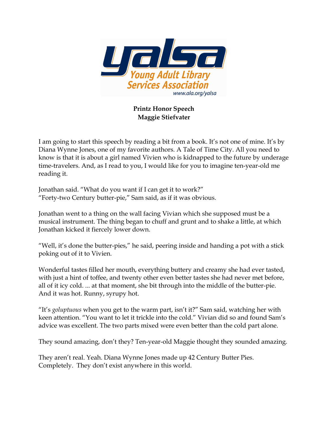

## Printz Honor Speech Maggie Stiefvater

I am going to start this speech by reading a bit from a book. It's not one of mine. It's by Diana Wynne Jones, one of my favorite authors. A Tale of Time City. All you need to know is that it is about a girl named Vivien who is kidnapped to the future by underage time-travelers. And, as I read to you, I would like for you to imagine ten-year-old me reading it.

Jonathan said. "What do you want if I can get it to work?" "Forty-two Century butter-pie," Sam said, as if it was obvious.

Jonathan went to a thing on the wall facing Vivian which she supposed must be a musical instrument. The thing began to chuff and grunt and to shake a little, at which Jonathan kicked it fiercely lower down.

"Well, it's done the butter-pies," he said, peering inside and handing a pot with a stick poking out of it to Vivien.

Wonderful tastes filled her mouth, everything buttery and creamy she had ever tasted, with just a hint of toffee, and twenty other even better tastes she had never met before, all of it icy cold. ... at that moment, she bit through into the middle of the butter-pie. And it was hot. Runny, syrupy hot.

"It's goluptuous when you get to the warm part, isn't it?" Sam said, watching her with keen attention. "You want to let it trickle into the cold." Vivian did so and found Sam's advice was excellent. The two parts mixed were even better than the cold part alone.

They sound amazing, don't they? Ten-year-old Maggie thought they sounded amazing.

They aren't real. Yeah. Diana Wynne Jones made up 42 Century Butter Pies. Completely. They don't exist anywhere in this world.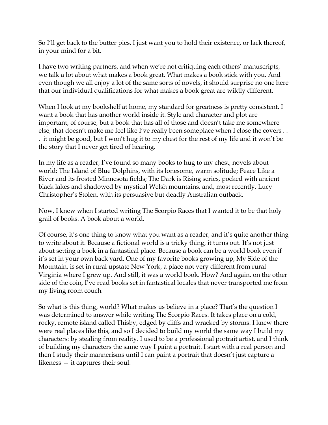So I'll get back to the butter pies. I just want you to hold their existence, or lack thereof, in your mind for a bit.

I have two writing partners, and when we're not critiquing each others' manuscripts, we talk a lot about what makes a book great. What makes a book stick with you. And even though we all enjoy a lot of the same sorts of novels, it should surprise no one here that our individual qualifications for what makes a book great are wildly different.

When I look at my bookshelf at home, my standard for greatness is pretty consistent. I want a book that has another world inside it. Style and character and plot are important, of course, but a book that has all of those and doesn't take me somewhere else, that doesn't make me feel like I've really been someplace when I close the covers . . . it might be good, but I won't hug it to my chest for the rest of my life and it won't be the story that I never get tired of hearing.

In my life as a reader, I've found so many books to hug to my chest, novels about world: The Island of Blue Dolphins, with its lonesome, warm solitude; Peace Like a River and its frosted Minnesota fields; The Dark is Rising series, pocked with ancient black lakes and shadowed by mystical Welsh mountains, and, most recently, Lucy Christopher's Stolen, with its persuasive but deadly Australian outback.

Now, I knew when I started writing The Scorpio Races that I wanted it to be that holy grail of books. A book about a world.

Of course, it's one thing to know what you want as a reader, and it's quite another thing to write about it. Because a fictional world is a tricky thing, it turns out. It's not just about setting a book in a fantastical place. Because a book can be a world book even if it's set in your own back yard. One of my favorite books growing up, My Side of the Mountain, is set in rural upstate New York, a place not very different from rural Virginia where I grew up. And still, it was a world book. How? And again, on the other side of the coin, I've read books set in fantastical locales that never transported me from my living room couch.

So what is this thing, world? What makes us believe in a place? That's the question I was determined to answer while writing The Scorpio Races. It takes place on a cold, rocky, remote island called Thisby, edged by cliffs and wracked by storms. I knew there were real places like this, and so I decided to build my world the same way I build my characters: by stealing from reality. I used to be a professional portrait artist, and I think of building my characters the same way I paint a portrait. I start with a real person and then I study their mannerisms until I can paint a portrait that doesn't just capture a likeness — it captures their soul.